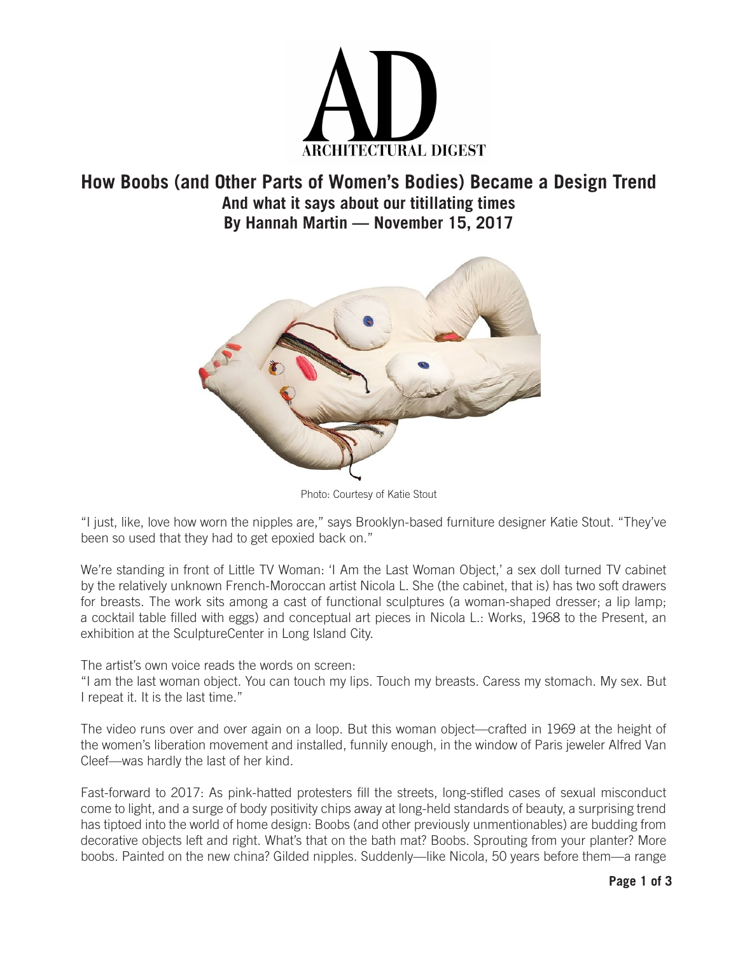

## **How Boobs (and Other Parts of Women's Bodies) Became a Design Trend And what it says about our titillating times By Hannah Martin — November 15, 2017**



Photo: Courtesy of Katie Stout

"I just, like, love how worn the nipples are," says Brooklyn-based furniture designer Katie Stout. "They've been so used that they had to get epoxied back on."

We're standing in front of Little TV Woman: 'I Am the Last Woman Object,' a sex doll turned TV cabinet by the relatively unknown French-Moroccan artist Nicola L. She (the cabinet, that is) has two soft drawers for breasts. The work sits among a cast of functional sculptures (a woman-shaped dresser; a lip lamp; a cocktail table filled with eggs) and conceptual art pieces in Nicola L.: Works, 1968 to the Present, an exhibition at the SculptureCenter in Long Island City.

The artist's own voice reads the words on screen:

"I am the last woman object. You can touch my lips. Touch my breasts. Caress my stomach. My sex. But I repeat it. It is the last time."

The video runs over and over again on a loop. But this woman object—crafted in 1969 at the height of the women's liberation movement and installed, funnily enough, in the window of Paris jeweler Alfred Van Cleef—was hardly the last of her kind.

Fast-forward to 2017: As pink-hatted protesters fill the streets, long-stifled cases of sexual misconduct come to light, and a surge of body positivity chips away at long-held standards of beauty, a surprising trend has tiptoed into the world of home design: Boobs (and other previously unmentionables) are budding from decorative objects left and right. What's that on the bath mat? Boobs. Sprouting from your planter? More boobs. Painted on the new china? Gilded nipples. Suddenly—like Nicola, 50 years before them—a range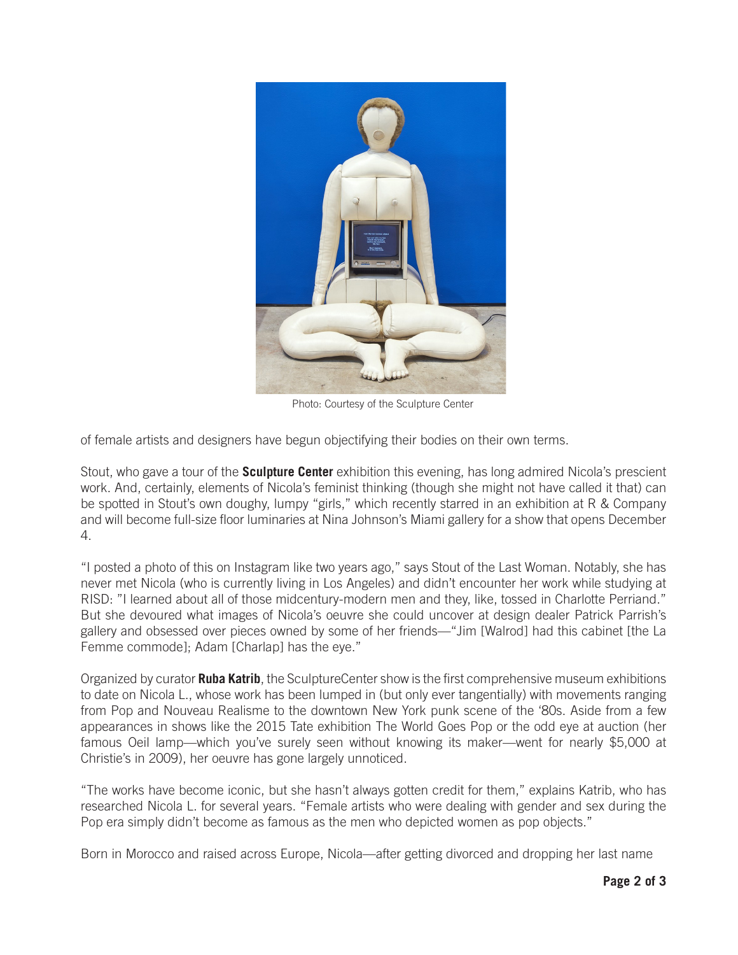

Photo: Courtesy of the Sculpture Center

of female artists and designers have begun objectifying their bodies on their own terms.

Stout, who gave a tour of the **Sculpture Center** exhibition this evening, has long admired Nicola's prescient work. And, certainly, elements of Nicola's feminist thinking (though she might not have called it that) can be spotted in Stout's own doughy, lumpy "girls," which recently starred in an exhibition at R & Company and will become full-size floor luminaries at Nina Johnson's Miami gallery for a show that opens December 4.

"I posted a photo of this on Instagram like two years ago," says Stout of the Last Woman. Notably, she has never met Nicola (who is currently living in Los Angeles) and didn't encounter her work while studying at RISD: "I learned about all of those midcentury-modern men and they, like, tossed in Charlotte Perriand." But she devoured what images of Nicola's oeuvre she could uncover at design dealer Patrick Parrish's gallery and obsessed over pieces owned by some of her friends—"Jim [Walrod] had this cabinet [the La Femme commode]; Adam [Charlap] has the eye."

Organized by curator **Ruba Katrib**, the SculptureCenter show is the first comprehensive museum exhibitions to date on Nicola L., whose work has been lumped in (but only ever tangentially) with movements ranging from Pop and Nouveau Realisme to the downtown New York punk scene of the '80s. Aside from a few appearances in shows like the 2015 Tate exhibition The World Goes Pop or the odd eye at auction (her famous Oeil lamp—which you've surely seen without knowing its maker—went for nearly \$5,000 at Christie's in 2009), her oeuvre has gone largely unnoticed.

"The works have become iconic, but she hasn't always gotten credit for them," explains Katrib, who has researched Nicola L. for several years. "Female artists who were dealing with gender and sex during the Pop era simply didn't become as famous as the men who depicted women as pop objects."

Born in Morocco and raised across Europe, Nicola—after getting divorced and dropping her last name